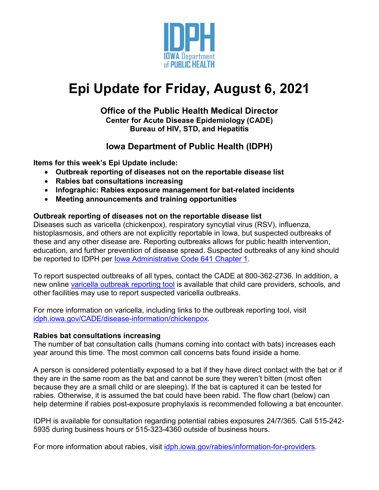

# **Epi Update for Friday, August 6, 2021**

### **Office of the Public Health Medical Director Center for Acute Disease Epidemiology (CADE) Bureau of HIV, STD, and Hepatitis**

# **Iowa Department of Public Health (IDPH)**

**Items for this week's Epi Update include:**

- **Outbreak reporting of diseases not on the reportable disease list**
- **Rabies bat consultations increasing**
- **Infographic: Rabies exposure management for bat-related incidents**
- **Meeting announcements and training opportunities**

# **Outbreak reporting of diseases not on the reportable disease list**

Diseases such as varicella (chickenpox), respiratory syncytial virus (RSV), influenza, histoplasmosis, and others are not explicitly reportable in Iowa, but suspected outbreaks of these and any other disease are. Reporting outbreaks allows for public health intervention, education, and further prevention of disease spread. Suspected outbreaks of any kind should be reported to IDPH per [Iowa Administrative Code 641 Chapter 1.](https://wiki.idph.iowa.gov/epimanual/Home/CategoryID/153)

To report suspected outbreaks of all types, contact the CADE at 800-362-2736. In addition, a new online [varicella outbreak reporting tool](https://redcap.idph.state.ia.us/surveys/?s=3FPJR4NLEX) is available that child care providers, schools, and other facilities may use to report suspected varicella outbreaks.

For more information on varicella, including links to the outbreak reporting tool, visit [idph.iowa.gov/CADE/disease-information/chickenpox.](https://idph.iowa.gov/CADE/disease-information/chickenpox)

#### **Rabies bat consultations increasing**

The number of bat consultation calls (humans coming into contact with bats) increases each year around this time. The most common call concerns bats found inside a home.

A person is considered potentially exposed to a bat if they have direct contact with the bat or if they are in the same room as the bat and cannot be sure they weren't bitten (most often because they are a small child or are sleeping). If the bat is captured it can be tested for rabies. Otherwise, it is assumed the bat could have been rabid. The flow chart (below) can help determine if rabies post-exposure prophylaxis is recommended following a bat encounter.

IDPH is available for consultation regarding potential rabies exposures 24/7/365. Call 515-242- 5935 during business hours or 515-323-4360 outside of business hours.

For more information about rabies, visit [idph.iowa.gov/rabies/information-for-providers.](https://idph.iowa.gov/rabies/information-for-providers)